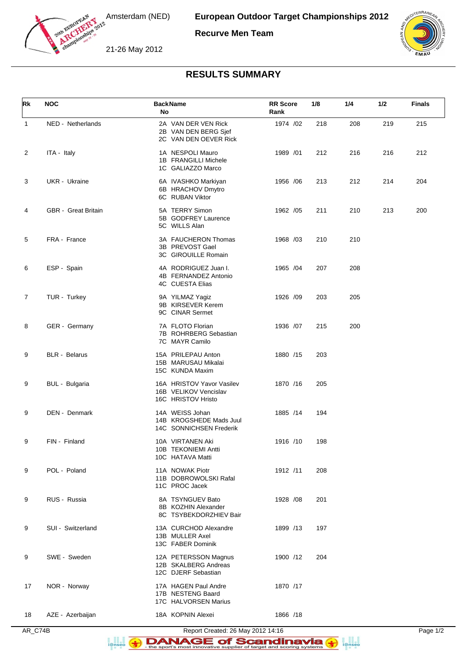

Amsterdam (NED)

**Recurve Men Team**

21-26 May 2012



## **RESULTS SUMMARY**

| Rk             | <b>NOC</b>                 | <b>BackName</b><br>No                                                    | <b>RR</b> Score<br>Rank | 1/8 | 1/4 | 1/2 | <b>Finals</b> |
|----------------|----------------------------|--------------------------------------------------------------------------|-------------------------|-----|-----|-----|---------------|
| $\mathbf{1}$   | NED - Netherlands          | 2A VAN DER VEN Rick<br>2B VAN DEN BERG Sjef<br>2C VAN DEN OEVER Rick     | 1974 /02                | 218 | 208 | 219 | 215           |
| 2              | ITA - Italy                | 1A NESPOLI Mauro<br>1B FRANGILLI Michele<br>1C GALIAZZO Marco            | 1989 /01                | 212 | 216 | 216 | 212           |
| 3              | UKR - Ukraine              | 6A IVASHKO Markiyan<br>6B HRACHOV Dmytro<br>6C RUBAN Viktor              | 1956 / 06               | 213 | 212 | 214 | 204           |
| 4              | <b>GBR</b> - Great Britain | 5A TERRY Simon<br>5B GODFREY Laurence<br>5C WILLS Alan                   | 1962 / 05               | 211 | 210 | 213 | 200           |
| 5              | FRA - France               | 3A FAUCHERON Thomas<br>3B PREVOST Gael<br>3C GIROUILLE Romain            | 1968 /03                | 210 | 210 |     |               |
| 6              | ESP - Spain                | 4A RODRIGUEZ Juan I.<br>4B FERNANDEZ Antonio<br>4C CUESTA Elias          | 1965 /04                | 207 | 208 |     |               |
| $\overline{7}$ | TUR - Turkey               | 9A YILMAZ Yagiz<br>9B KIRSEVER Kerem<br>9C CINAR Sermet                  | 1926 /09                | 203 | 205 |     |               |
| 8              | GER - Germany              | 7A FLOTO Florian<br>7B ROHRBERG Sebastian<br>7C MAYR Camilo              | 1936 /07                | 215 | 200 |     |               |
| 9              | <b>BLR</b> - Belarus       | 15A PRILEPAU Anton<br>15B MARUSAU Mikalai<br>15C KUNDA Maxim             | 1880 /15                | 203 |     |     |               |
| 9              | BUL - Bulgaria             | 16A HRISTOV Yavor Vasilev<br>16B VELIKOV Vencislav<br>16C HRISTOV Hristo | 1870 /16                | 205 |     |     |               |
| 9              | DEN - Denmark              | 14A WEISS Johan<br>14B KROGSHEDE Mads Juul<br>14C SONNICHSEN Frederik    | 1885 /14                | 194 |     |     |               |
| 9              | FIN - Finland              | 10A VIRTANEN Aki<br>10B TEKONIEMI Antti<br>10C HATAVA Matti              | 1916 /10                | 198 |     |     |               |
| 9              | POL - Poland               | 11A NOWAK Piotr<br>11B DOBROWOLSKI Rafal<br>11C PROC Jacek               | 1912 /11                | 208 |     |     |               |
| 9              | RUS - Russia               | 8A TSYNGUEV Bato<br>8B KOZHIN Alexander<br>8C TSYBEKDORZHIEV Bair        | 1928 / 08               | 201 |     |     |               |
| 9              | SUI - Switzerland          | 13A CURCHOD Alexandre<br>13B MULLER Axel<br>13C FABER Dominik            | 1899 /13                | 197 |     |     |               |
| 9              | SWE - Sweden               | 12A PETERSSON Magnus<br>12B SKALBERG Andreas<br>12C DJERF Sebastian      | 1900 /12                | 204 |     |     |               |
| 17             | NOR - Norway               | 17A HAGEN Paul Andre<br>17B NESTENG Baard<br>17C HALVORSEN Marius        | 1870 /17                |     |     |     |               |
| 18             | AZE - Azerbaijan           | 18A KOPNIN Alexei                                                        | 1866 /18                |     |     |     |               |

AR\_C74B Report Created: 26 May 2012 14:16 Page 1/2